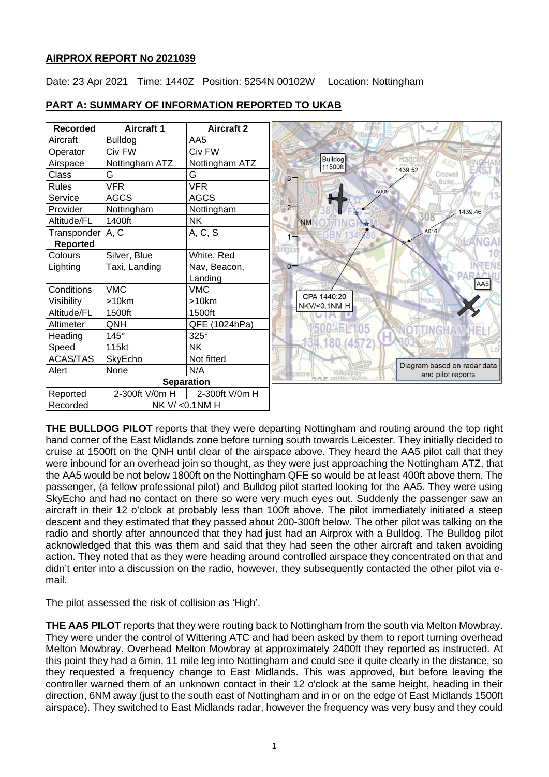# **AIRPROX REPORT No 2021039**

Date: 23 Apr 2021 Time: 1440Z Position: 5254N 00102W Location: Nottingham

| <b>Recorded</b>    | <b>Aircraft 1</b> | <b>Aircraft 2</b> |  |
|--------------------|-------------------|-------------------|--|
| Aircraft           | <b>Bulldog</b>    | AA5               |  |
| Operator           | Civ FW            | Civ FW            |  |
| Airspace           | Nottingham ATZ    | Nottingham ATZ    |  |
| Class              | G                 | G                 |  |
| Rules              | <b>VFR</b>        | <b>VFR</b>        |  |
| Service            | <b>AGCS</b>       | <b>AGCS</b>       |  |
| Provider           | Nottingham        | Nottingham        |  |
| Altitude/FL        | 1400ft            | <b>NK</b>         |  |
| Transponder   A, C |                   | A, C, S           |  |
| Reported           |                   |                   |  |
| Colours            | Silver, Blue      | White, Red        |  |
| Lighting           | Taxi, Landing     | Nav, Beacon,      |  |
|                    |                   | Landing           |  |
| Conditions         | <b>VMC</b>        | <b>VMC</b>        |  |
| Visibility         | $>10$ km          | >10km             |  |
| Altitude/FL        | 1500ft            | 1500ft            |  |
| Altimeter          | QNH               | QFE (1024hPa)     |  |
| Heading            | $145^\circ$       | 325°              |  |
| Speed              | 115kt             | NΚ                |  |
| ACAS/TAS           | SkyEcho           | Not fitted        |  |
| Alert              | None              | N/A               |  |
| <b>Separation</b>  |                   |                   |  |
| Reported           | 2-300ft V/0m H    | 2-300ft V/0m H    |  |
| Recorded           | NK V/ < 0.1NM H   |                   |  |

# **PART A: SUMMARY OF INFORMATION REPORTED TO UKAB**

**THE BULLDOG PILOT** reports that they were departing Nottingham and routing around the top right hand corner of the East Midlands zone before turning south towards Leicester. They initially decided to cruise at 1500ft on the QNH until clear of the airspace above. They heard the AA5 pilot call that they were inbound for an overhead join so thought, as they were just approaching the Nottingham ATZ, that the AA5 would be not below 1800ft on the Nottingham QFE so would be at least 400ft above them. The passenger, (a fellow professional pilot) and Bulldog pilot started looking for the AA5. They were using SkyEcho and had no contact on there so were very much eyes out. Suddenly the passenger saw an aircraft in their 12 o'clock at probably less than 100ft above. The pilot immediately initiated a steep descent and they estimated that they passed about 200-300ft below. The other pilot was talking on the radio and shortly after announced that they had just had an Airprox with a Bulldog. The Bulldog pilot acknowledged that this was them and said that they had seen the other aircraft and taken avoiding action. They noted that as they were heading around controlled airspace they concentrated on that and didn't enter into a discussion on the radio, however, they subsequently contacted the other pilot via email.

The pilot assessed the risk of collision as 'High'.

**THE AA5 PILOT** reports that they were routing back to Nottingham from the south via Melton Mowbray. They were under the control of Wittering ATC and had been asked by them to report turning overhead Melton Mowbray. Overhead Melton Mowbray at approximately 2400ft they reported as instructed. At this point they had a 6min, 11 mile leg into Nottingham and could see it quite clearly in the distance, so they requested a frequency change to East Midlands. This was approved, but before leaving the controller warned them of an unknown contact in their 12 o'clock at the same height, heading in their direction, 6NM away (just to the south east of Nottingham and in or on the edge of East Midlands 1500ft airspace). They switched to East Midlands radar, however the frequency was very busy and they could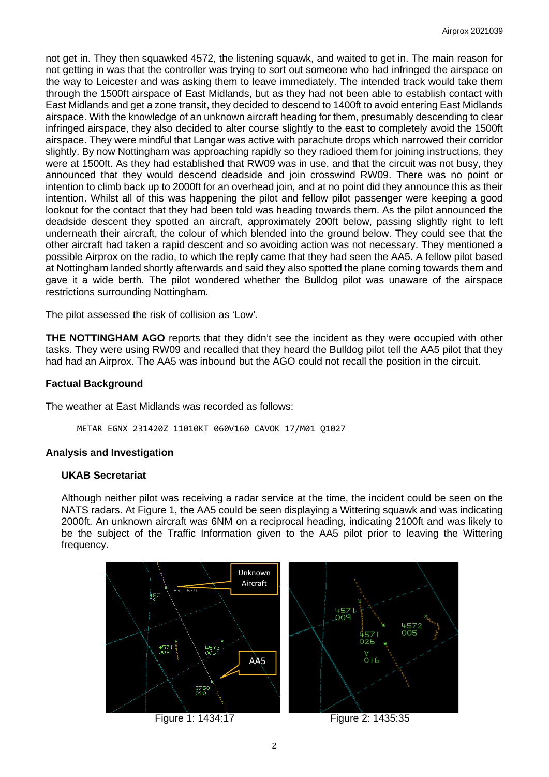not get in. They then squawked 4572, the listening squawk, and waited to get in. The main reason for not getting in was that the controller was trying to sort out someone who had infringed the airspace on the way to Leicester and was asking them to leave immediately. The intended track would take them through the 1500ft airspace of East Midlands, but as they had not been able to establish contact with East Midlands and get a zone transit, they decided to descend to 1400ft to avoid entering East Midlands airspace. With the knowledge of an unknown aircraft heading for them, presumably descending to clear infringed airspace, they also decided to alter course slightly to the east to completely avoid the 1500ft airspace. They were mindful that Langar was active with parachute drops which narrowed their corridor slightly. By now Nottingham was approaching rapidly so they radioed them for joining instructions, they were at 1500ft. As they had established that RW09 was in use, and that the circuit was not busy, they announced that they would descend deadside and join crosswind RW09. There was no point or intention to climb back up to 2000ft for an overhead join, and at no point did they announce this as their intention. Whilst all of this was happening the pilot and fellow pilot passenger were keeping a good lookout for the contact that they had been told was heading towards them. As the pilot announced the deadside descent they spotted an aircraft, approximately 200ft below, passing slightly right to left underneath their aircraft, the colour of which blended into the ground below. They could see that the other aircraft had taken a rapid descent and so avoiding action was not necessary. They mentioned a possible Airprox on the radio, to which the reply came that they had seen the AA5. A fellow pilot based at Nottingham landed shortly afterwards and said they also spotted the plane coming towards them and gave it a wide berth. The pilot wondered whether the Bulldog pilot was unaware of the airspace restrictions surrounding Nottingham.

The pilot assessed the risk of collision as 'Low'.

**THE NOTTINGHAM AGO** reports that they didn't see the incident as they were occupied with other tasks. They were using RW09 and recalled that they heard the Bulldog pilot tell the AA5 pilot that they had had an Airprox. The AA5 was inbound but the AGO could not recall the position in the circuit.

### **Factual Background**

The weather at East Midlands was recorded as follows:

METAR EGNX 231420Z 11010KT 060V160 CAVOK 17/M01 Q1027

### **Analysis and Investigation**

#### **UKAB Secretariat**

Although neither pilot was receiving a radar service at the time, the incident could be seen on the NATS radars. At Figure 1, the AA5 could be seen displaying a Wittering squawk and was indicating 2000ft. An unknown aircraft was 6NM on a reciprocal heading, indicating 2100ft and was likely to be the subject of the Traffic Information given to the AA5 pilot prior to leaving the Wittering frequency.

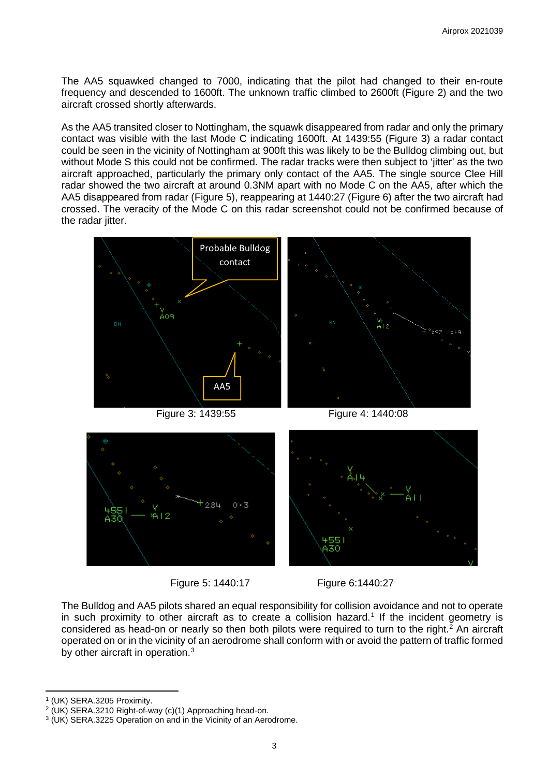The AA5 squawked changed to 7000, indicating that the pilot had changed to their en-route frequency and descended to 1600ft. The unknown traffic climbed to 2600ft (Figure 2) and the two aircraft crossed shortly afterwards.

As the AA5 transited closer to Nottingham, the squawk disappeared from radar and only the primary contact was visible with the last Mode C indicating 1600ft. At 1439:55 (Figure 3) a radar contact could be seen in the vicinity of Nottingham at 900ft this was likely to be the Bulldog climbing out, but without Mode S this could not be confirmed. The radar tracks were then subject to 'jitter' as the two aircraft approached, particularly the primary only contact of the AA5. The single source Clee Hill radar showed the two aircraft at around 0.3NM apart with no Mode C on the AA5, after which the AA5 disappeared from radar (Figure 5), reappearing at 1440:27 (Figure 6) after the two aircraft had crossed. The veracity of the Mode C on this radar screenshot could not be confirmed because of the radar jitter.





Figure 5: 1440:17 Figure 6:1440:27

The Bulldog and AA5 pilots shared an equal responsibility for collision avoidance and not to operate in such proximity to other aircraft as to create a collision hazard. [1](#page-2-0) If the incident geometry is considered as head-on or nearly so then both pilots were required to turn to the right. [2](#page-2-1) An aircraft operated on or in the vicinity of an aerodrome shall conform with or avoid the pattern of traffic formed by other aircraft in operation.<sup>[3](#page-2-2)</sup>

<span id="page-2-0"></span>

<sup>&</sup>lt;sup>1</sup> (UK) SERA.3205 Proximity.<br><sup>2</sup> (UK) SERA.3210 Right-of-way (c)(1) Approaching head-on.

<span id="page-2-2"></span><span id="page-2-1"></span><sup>&</sup>lt;sup>3</sup> (UK) SERA.3225 Operation on and in the Vicinity of an Aerodrome.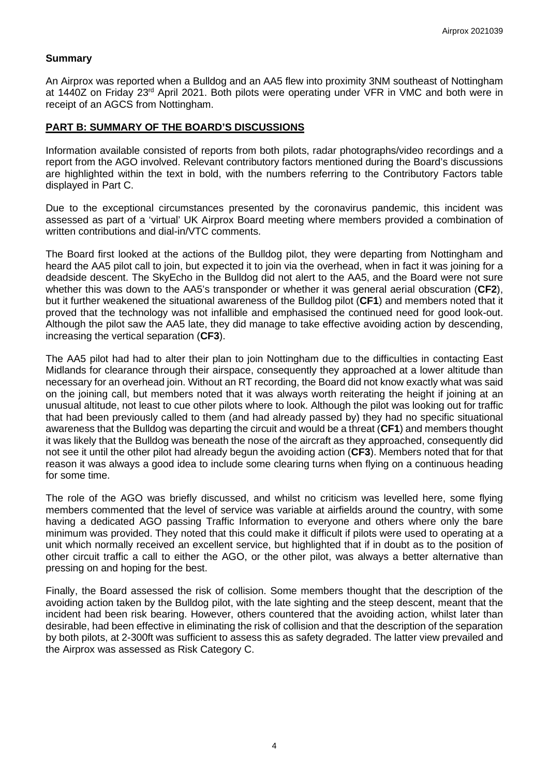# **Summary**

An Airprox was reported when a Bulldog and an AA5 flew into proximity 3NM southeast of Nottingham at 1440Z on Friday 23rd April 2021. Both pilots were operating under VFR in VMC and both were in receipt of an AGCS from Nottingham.

### **PART B: SUMMARY OF THE BOARD'S DISCUSSIONS**

Information available consisted of reports from both pilots, radar photographs/video recordings and a report from the AGO involved. Relevant contributory factors mentioned during the Board's discussions are highlighted within the text in bold, with the numbers referring to the Contributory Factors table displayed in Part C.

Due to the exceptional circumstances presented by the coronavirus pandemic, this incident was assessed as part of a 'virtual' UK Airprox Board meeting where members provided a combination of written contributions and dial-in/VTC comments.

The Board first looked at the actions of the Bulldog pilot, they were departing from Nottingham and heard the AA5 pilot call to join, but expected it to join via the overhead, when in fact it was joining for a deadside descent. The SkyEcho in the Bulldog did not alert to the AA5, and the Board were not sure whether this was down to the AA5's transponder or whether it was general aerial obscuration (**CF2**), but it further weakened the situational awareness of the Bulldog pilot (**CF1**) and members noted that it proved that the technology was not infallible and emphasised the continued need for good look-out. Although the pilot saw the AA5 late, they did manage to take effective avoiding action by descending, increasing the vertical separation (**CF3**).

The AA5 pilot had had to alter their plan to join Nottingham due to the difficulties in contacting East Midlands for clearance through their airspace, consequently they approached at a lower altitude than necessary for an overhead join. Without an RT recording, the Board did not know exactly what was said on the joining call, but members noted that it was always worth reiterating the height if joining at an unusual altitude, not least to cue other pilots where to look. Although the pilot was looking out for traffic that had been previously called to them (and had already passed by) they had no specific situational awareness that the Bulldog was departing the circuit and would be a threat (**CF1**) and members thought it was likely that the Bulldog was beneath the nose of the aircraft as they approached, consequently did not see it until the other pilot had already begun the avoiding action (**CF3**). Members noted that for that reason it was always a good idea to include some clearing turns when flying on a continuous heading for some time.

The role of the AGO was briefly discussed, and whilst no criticism was levelled here, some flying members commented that the level of service was variable at airfields around the country, with some having a dedicated AGO passing Traffic Information to everyone and others where only the bare minimum was provided. They noted that this could make it difficult if pilots were used to operating at a unit which normally received an excellent service, but highlighted that if in doubt as to the position of other circuit traffic a call to either the AGO, or the other pilot, was always a better alternative than pressing on and hoping for the best.

Finally, the Board assessed the risk of collision. Some members thought that the description of the avoiding action taken by the Bulldog pilot, with the late sighting and the steep descent, meant that the incident had been risk bearing. However, others countered that the avoiding action, whilst later than desirable, had been effective in eliminating the risk of collision and that the description of the separation by both pilots, at 2-300ft was sufficient to assess this as safety degraded. The latter view prevailed and the Airprox was assessed as Risk Category C.